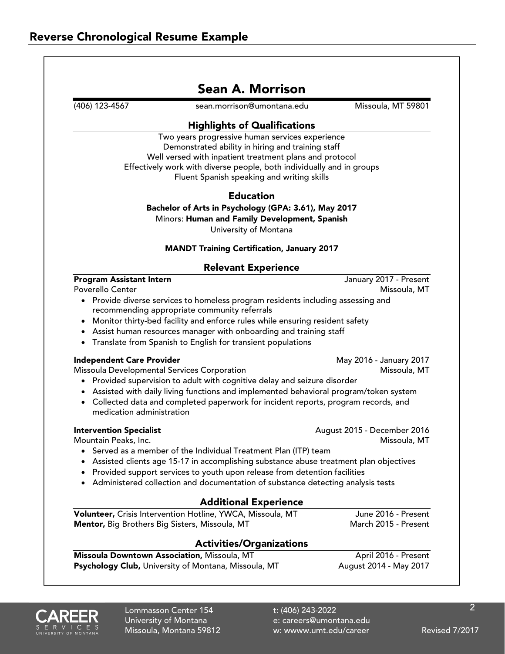| (406) 123-4567                                             | sean.morrison@umontana.edu                                                                                                       | Missoula, MT 59801          |
|------------------------------------------------------------|----------------------------------------------------------------------------------------------------------------------------------|-----------------------------|
|                                                            |                                                                                                                                  |                             |
|                                                            | <b>Highlights of Qualifications</b>                                                                                              |                             |
|                                                            | Two years progressive human services experience                                                                                  |                             |
|                                                            | Demonstrated ability in hiring and training staff                                                                                |                             |
|                                                            | Well versed with inpatient treatment plans and protocol                                                                          |                             |
|                                                            | Effectively work with diverse people, both individually and in groups                                                            |                             |
|                                                            | Fluent Spanish speaking and writing skills                                                                                       |                             |
|                                                            | <b>Education</b>                                                                                                                 |                             |
|                                                            | Bachelor of Arts in Psychology (GPA: 3.61), May 2017                                                                             |                             |
|                                                            | Minors: Human and Family Development, Spanish                                                                                    |                             |
|                                                            | University of Montana                                                                                                            |                             |
|                                                            | <b>MANDT Training Certification, January 2017</b>                                                                                |                             |
|                                                            | <b>Relevant Experience</b>                                                                                                       |                             |
| <b>Program Assistant Intern</b>                            |                                                                                                                                  | January 2017 - Present      |
| <b>Poverello Center</b>                                    |                                                                                                                                  | Missoula, MT                |
|                                                            | • Provide diverse services to homeless program residents including assessing and<br>recommending appropriate community referrals |                             |
|                                                            | Monitor thirty-bed facility and enforce rules while ensuring resident safety                                                     |                             |
|                                                            | Assist human resources manager with onboarding and training staff                                                                |                             |
| ٠                                                          | Translate from Spanish to English for transient populations                                                                      |                             |
| <b>Independent Care Provider</b>                           |                                                                                                                                  | May 2016 - January 2017     |
|                                                            | Missoula Developmental Services Corporation                                                                                      | Missoula, MT                |
|                                                            | • Provided supervision to adult with cognitive delay and seizure disorder                                                        |                             |
|                                                            | • Assisted with daily living functions and implemented behavioral program/token system                                           |                             |
|                                                            | • Collected data and completed paperwork for incident reports, program records, and                                              |                             |
| medication administration                                  |                                                                                                                                  |                             |
| <b>Intervention Specialist</b>                             |                                                                                                                                  | August 2015 - December 2016 |
| Mountain Peaks, Inc.                                       |                                                                                                                                  | Missoula, MT                |
|                                                            | • Served as a member of the Individual Treatment Plan (ITP) team                                                                 |                             |
|                                                            | • Assisted clients age 15-17 in accomplishing substance abuse treatment plan objectives                                          |                             |
|                                                            | • Provided support services to youth upon release from detention facilities                                                      |                             |
| $\bullet$                                                  | Administered collection and documentation of substance detecting analysis tests                                                  |                             |
|                                                            | <b>Additional Experience</b>                                                                                                     |                             |
| Volunteer, Crisis Intervention Hotline, YWCA, Missoula, MT |                                                                                                                                  | June 2016 - Present         |
|                                                            | Mentor, Big Brothers Big Sisters, Missoula, MT                                                                                   | March 2015 - Present        |
|                                                            | <b>Activities/Organizations</b>                                                                                                  |                             |
|                                                            | Missoula Downtown Association, Missoula, MT                                                                                      | April 2016 - Present        |
|                                                            | Psychology Club, University of Montana, Missoula, MT                                                                             | August 2014 - May 2017      |



Lommasson Center 154 t: (406) 243-2022<br>University of Montana e: careers@umont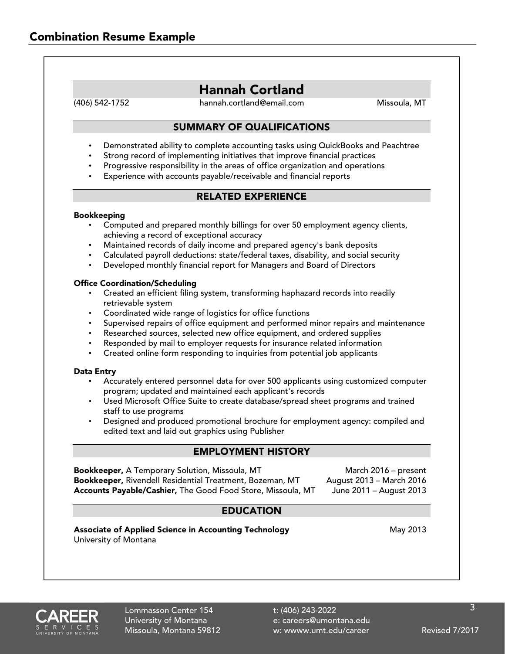# Hannah Cortland

(406) 542-1752 hannah.cortland@email.com Missoula, MT

# SUMMARY OF QUALIFICATIONS

- Demonstrated ability to complete accounting tasks using QuickBooks and Peachtree
- Strong record of implementing initiatives that improve financial practices
- Progressive responsibility in the areas of office organization and operations
- Experience with accounts payable/receivable and financial reports

## RELATED EXPERIENCE

#### Bookkeeping

- Computed and prepared monthly billings for over 50 employment agency clients, achieving a record of exceptional accuracy
- Maintained records of daily income and prepared agency's bank deposits
- Calculated payroll deductions: state/federal taxes, disability, and social security
- Developed monthly financial report for Managers and Board of Directors

#### Office Coordination/Scheduling

- Created an efficient filing system, transforming haphazard records into readily retrievable system
- Coordinated wide range of logistics for office functions
- Supervised repairs of office equipment and performed minor repairs and maintenance
- Researched sources, selected new office equipment, and ordered supplies
- Responded by mail to employer requests for insurance related information
- Created online form responding to inquiries from potential job applicants

#### Data Entry

- Accurately entered personnel data for over 500 applicants using customized computer program; updated and maintained each applicant's records
- Used Microsoft Office Suite to create database/spread sheet programs and trained staff to use programs
- Designed and produced promotional brochure for employment agency: compiled and edited text and laid out graphics using Publisher

### EMPLOYMENT HISTORY

**Bookkeeper,** A Temporary Solution, Missoula, MT March 2016 – present Bookkeeper, Rivendell Residential Treatment, Bozeman, MT August 2013 – March 2016 Accounts Payable/Cashier, The Good Food Store, Missoula, MT June 2011 - August 2013

# EDUCATION

Associate of Applied Science in Accounting Technology **May 2013** May 2013 University of Montana



University of Montana external e: careers@umontana.edu Missoula, Montana 59812 w: wwww.umt.edu/career Revised 7/2017